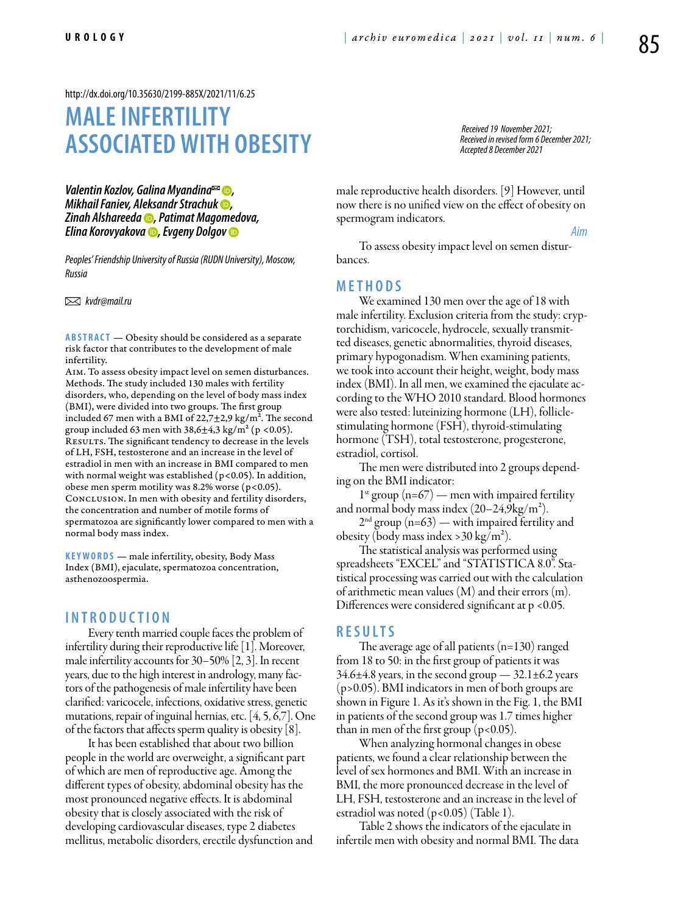<http://dx.doi.org/10.35630/2199-885X/2021/11/6.25>

# **MALE INFERTILITY ASSOCIATED WITH OBESITY**

*Valentin Kozlov, [Galina Myandina](https://orcid.org/0000-0002-7613-326X)*<sup>⊠</sup> *●, Mikhail Faniev, [Aleksandr Strachuk](https://orcid.org/0000-0002-1787-5722) , [Zinah Alshareeda](https://orcid.org/0000-0003-3700-5377) , Patimat Magomedova, [Elina Korovyakova](https://orcid.org/0000-0002-3149-8089) , [Evgeny Dolgov](https://orcid.org/0000-0001-6709-5209)*

*Peoples' Friendship University of Russia (RUDN University), Moscow, Russia*

 *kvdr@mail.ru*

**ABSTRACT** — Obesity should be considered as a separate risk factor that contributes to the development of male infertility.

Aim. To assess obesity impact level on semen disturbances. Methods. The study included 130 males with fertility disorders, who, depending on the level of body mass index (BMI), were divided into two groups. The first group included 67 men with a BMI of  $22,7\pm2,9$  kg/m<sup>2</sup>. The second group included 63 men with  $38,6\pm4,3$  kg/m<sup>2</sup> (p <0.05). RESULTS. The significant tendency to decrease in the levels of LH, FSH, testosterone and an increase in the level of estradiol in men with an increase in BMI compared to men with normal weight was established (p<0.05). In addition, obese men sperm motility was 8.2% worse ( $p$ <0.05). Conclusion. In men with obesity and fertility disorders, the concentration and number of motile forms of spermatozoa are significantly lower compared to men with a normal body mass index.

KEYWORDS — male infertility, obesity, Body Mass Index (BMI), ejaculate, spermatozoa concentration, asthenozoospermia.

#### **I ntrod u ction**

Every tenth married couple faces the problem of infertility during their reproductive life [1]. Moreover, male infertility accounts for 30–50% [2, 3]. In recent years, due to the high interest in andrology, many factors of the pathogenesis of male infertility have been clarified: varicocele, infections, oxidative stress, genetic mutations, repair of inguinal hernias, etc. [4, 5, 6,7]. One of the factors that affects sperm quality is obesity [8].

It has been established that about two billion people in the world are overweight, a significant part of which are men of reproductive age. Among the different types of obesity, abdominal obesity has the most pronounced negative effects. It is abdominal obesity that is closely associated with the risk of developing cardiovascular diseases, type 2 diabetes mellitus, metabolic disorders, erectile dysfunction and

*Received 19 November 2021; Received in revised form 6 December 2021; Accepted 8 December 2021*

*Aim*

male reproductive health disorders. [9] However, until now there is no unified view on the effect of obesity on spermogram indicators.

To assess obesity impact level on semen disturbances.

#### **Methods**

We examined 130 men over the age of 18 with male infertility. Exclusion criteria from the study: cryptorchidism, varicocele, hydrocele, sexually transmitted diseases, genetic abnormalities, thyroid diseases, primary hypogonadism. When examining patients, we took into account their height, weight, body mass index (BMI). In all men, we examined the ejaculate according to the WHO 2010 standard. Blood hormones were also tested: luteinizing hormone (LH), folliclestimulating hormone (FSH), thyroid-stimulating hormone (TSH), total testosterone, progesterone, estradiol, cortisol.

The men were distributed into 2 groups depending on the BMI indicator:

 $1^{st}$  group (n=67) — men with impaired fertility and normal body mass index  $(20-24.9 \text{kg/m}^2)$ .

 $2<sup>nd</sup>$  group (n=63) — with impaired fertility and obesity (body mass index > 30 kg/m<sup>2</sup>).

The statistical analysis was performed using spreadsheets "EXCEL" and "STATISTICA 8.0". Statistical processing was carried out with the calculation of arithmetic mean values (M) and their errors (m). Differences were considered significant at  $p < 0.05$ .

### **R es u lts**

The average age of all patients (n=130) ranged from 18 to 50: in the first group of patients it was 34.6±4.8 years, in the second group — 32.1±6.2 years (p>0.05). BMI indicators in men of both groups are shown in Figure 1. As it's shown in the Fig. 1, the BMI in patients of the second group was 1.7 times higher than in men of the first group  $(p<0.05)$ .

When analyzing hormonal changes in obese patients, we found a clear relationship between the level of sex hormones and BMI. With an increase in BMI, the more pronounced decrease in the level of LH, FSH, testosterone and an increase in the level of estradiol was noted (p<0.05) (Table 1).

Table 2 shows the indicators of the ejaculate in infertile men with obesity and normal BMI. The data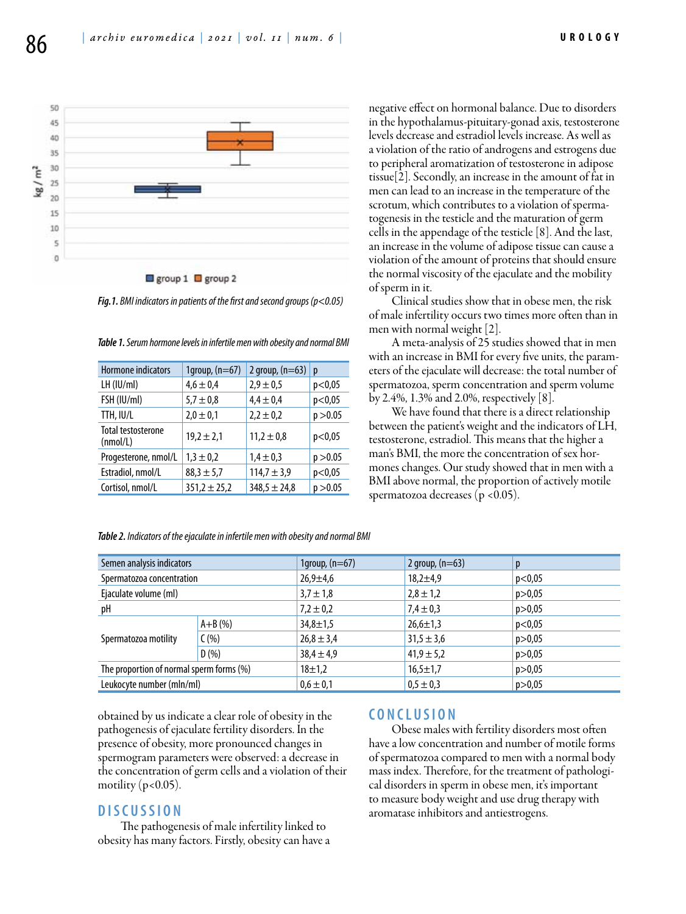



*Fig.1. BMI indicators in patients of the first and second groups (p<0.05)*

| Hormone indicators                    | 1 $group, (n=67)$ | 2 group, $(n=63)$ | р        |
|---------------------------------------|-------------------|-------------------|----------|
| $LH$ ( $ U/m $ )                      | $4,6 \pm 0,4$     | $2,9 \pm 0,5$     | p<0,05   |
| FSH (IU/ml)                           | $5,7 \pm 0,8$     | $4.4 \pm 0.4$     | p<0,05   |
| TTH, IU/L                             | $2,0 \pm 0,1$     | $2,2 \pm 0,2$     | p > 0.05 |
| <b>Total testosterone</b><br>(mmol/L) | $19.2 \pm 2.1$    | $11,2 \pm 0.8$    | p<0.05   |
| Progesterone, nmol/L                  | $1,3 \pm 0.2$     | $1.4 \pm 0.3$     | p > 0.05 |
| Estradiol, nmol/L                     | $88,3 \pm 5,7$    | $114,7 \pm 3,9$   | p<0,05   |
| Cortisol, nmol/L                      | $351,2 \pm 25,2$  | $348,5 \pm 24,8$  | p > 0.05 |

*Table 1. Serum hormone levels in infertile men with obesity and normal BMI*

negative effect on hormonal balance. Due to disorders in the hypothalamus-pituitary-gonad axis, testosterone levels decrease and estradiol levels increase. As well as a violation of the ratio of androgens and estrogens due to peripheral aromatization of testosterone in adipose tissue[2]. Secondly, an increase in the amount of fat in men can lead to an increase in the temperature of the scrotum, which contributes to a violation of spermatogenesis in the testicle and the maturation of germ cells in the appendage of the testicle [8]. And the last, an increase in the volume of adipose tissue can cause a violation of the amount of proteins that should ensure the normal viscosity of the ejaculate and the mobility of sperm in it.

Clinical studies show that in obese men, the risk of male infertility occurs two times more often than in men with normal weight [2].

A meta-analysis of 25 studies showed that in men with an increase in BMI for every five units, the parameters of the ejaculate will decrease: the total number of spermatozoa, sperm concentration and sperm volume by 2.4%, 1.3% and 2.0%, respectively  $|8|$ .

We have found that there is a direct relationship between the patient's weight and the indicators of LH, testosterone, estradiol. This means that the higher a man's BMI, the more the concentration of sex hormones changes. Our study showed that in men with a BMI above normal, the proportion of actively motile spermatozoa decreases (p <0.05).

| Semen analysis indicators                |             | 1group, $(n=67)$ | 2 group, $(n=63)$ | p        |
|------------------------------------------|-------------|------------------|-------------------|----------|
| Spermatozoa concentration                |             | $26,9 \pm 4,6$   | $18,2 \pm 4,9$    | p<0,05   |
| Ejaculate volume (ml)                    |             | $3,7 \pm 1,8$    | $2,8 \pm 1,2$     | p > 0,05 |
| pН                                       |             | $7,2 \pm 0,2$    | $7,4 \pm 0,3$     | p > 0,05 |
| Spermatozoa motility                     | $A + B$ (%) | $34,8 \pm 1,5$   | $26,6 \pm 1,3$    | p<0,05   |
|                                          | C(% )       | $26,8 \pm 3,4$   | $31.5 \pm 3.6$    | p > 0,05 |
|                                          | D(%)        | $38,4 \pm 4,9$   | $41,9 \pm 5,2$    | p > 0.05 |
| The proportion of normal sperm forms (%) |             | $18 + 1,2$       | $16,5 \pm 1,7$    | p > 0,05 |
| Leukocyte number (mln/ml)                |             | $0,6 \pm 0,1$    | $0,5 \pm 0,3$     | p > 0,05 |

*Table 2. Indicators of the ejaculate in infertile men with obesity and normal BMI*

obtained by us indicate a clear role of obesity in the pathogenesis of ejaculate fertility disorders. In the presence of obesity, more pronounced changes in spermogram parameters were observed: a decrease in the concentration of germ cells and a violation of their motility ( $p<0.05$ ).

## **D isc u ssion**

The pathogenesis of male infertility linked to obesity has many factors. Firstly, obesity can have a

### **C oncl u sion**

Obese males with fertility disorders most often have a low concentration and number of motile forms of spermatozoa compared to men with a normal body mass index. Therefore, for the treatment of pathological disorders in sperm in obese men, it's important to measure body weight and use drug therapy with aromatase inhibitors and antiestrogens.